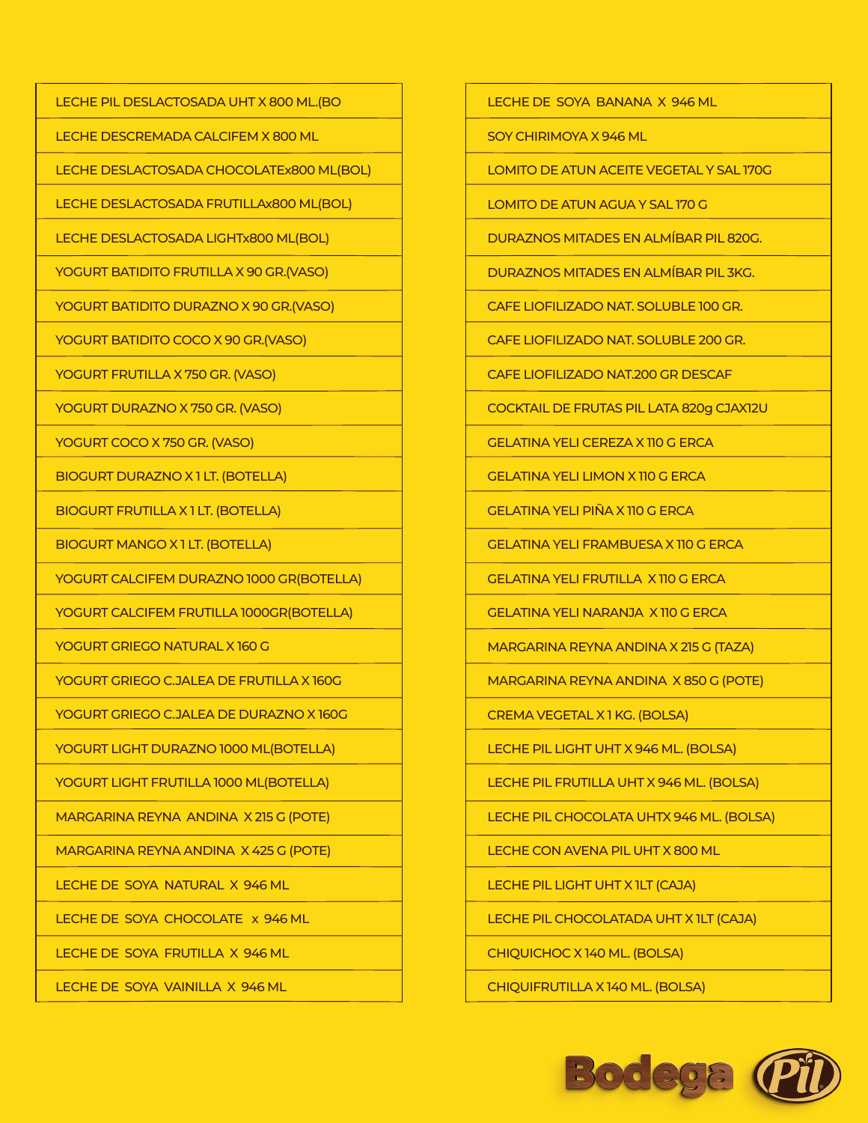LECHE PIL DESLACTOSADA UHT X 800 ML.(BO

LECHE DESCREMADA CALCIFEM X 800 ML

LECHE DESLACTOSADA CHOCOLATEx800 ML(BOL)

LECHE DESLACTOSADA FRUTILLAx800 ML(BOL)

LECHE DESLACTOSADA LIGHTx800 ML(BOL)

YOGURT BATIDITO FRUTILLA X 90 GR.(VASO)

YOGURT BATIDITO DURAZNO X 90 GR.(VASO)

YOGURT BATIDITO COCO X 90 GR.(VASO)

YOGURT FRUTILLA X 750 GR. (VASO)

YOGURT DURAZNO X 750 GR. (VASO)

YOGURT COCO X 750 GR. (VASO)

BIOGURT DURAZNO X 1 LT. (BOTELLA)

BIOGURT FRUTILLA X 1 LT. (BOTELLA)

BIOGURT MANGO X 1 LT. (BOTELLA)

YOGURT CALCIFEM DURAZNO 1000 GR(BOTELLA)

YOGURT CALCIFEM FRUTILLA 1000GR(BOTELLA)

YOGURT GRIEGO NATURAL X 160 G

YOGURT GRIEGO C.JALEA DE FRUTILLA X 160G

YOGURT GRIEGO C.JALEA DE DURAZNO X 160G

YOGURT LIGHT DURAZNO 1000 ML(BOTELLA)

YOGURT LIGHT FRUTILLA 1000 ML(BOTELLA)

MARGARINA REYNA ANDINA X 215 G (POTE)

MARGARINA REYNA ANDINA X 425 G (POTE)

LECHE DE SOYA NATURAL X 946 ML

LECHE DE SOYA CHOCOLATE x 946 ML

LECHE DE SOYA FRUTILLA X 946 ML

LECHE DE SOYA VAINILLA X 946 ML

LECHE DE SOYA BANANA X 946 ML

SOY CHIRIMOYA X 946 ML

LOMITO DE ATUN ACEITE VEGETAL Y SAL 170G

LOMITO DE ATUN AGUA Y SAL 170 G

DURAZNOS MITADES EN ALMÍBAR PIL 820G.

DURAZNOS MITADES EN ALMÍBAR PIL 3KG.

CAFE LIOFILIZADO NAT. SOLUBLE 100 GR.

CAFE LIOFILIZADO NAT. SOLUBLE 200 GR.

CAFE LIOFILIZADO NAT.200 GR DESCAF

COCKTAIL DE FRUTAS PIL LATA 820g CJAX12U

GELATINA YELI CEREZA X 110 G ERCA

GELATINA YELI LIMON X 110 G ERCA

GELATINA YELI PIÑA X 110 G ERCA

GELATINA YELI FRAMBUESA X 110 G ERCA

GELATINA YELI FRUTILLA X 110 G ERCA

GELATINA YELI NARANJA X 110 G ERCA

MARGARINA REYNA ANDINA X 215 G (TAZA)

MARGARINA REYNA ANDINA X 850 G (POTE)

CREMA VEGETAL X 1 KG. (BOLSA)

LECHE PIL LIGHT UHT X 946 ML. (BOLSA)

LECHE PIL FRUTILLA UHT X 946 ML. (BOLSA)

LECHE PIL CHOCOLATA UHTX 946 ML. (BOLSA)

LECHE CON AVENA PIL UHT X 800 ML

LECHE PIL LIGHT UHT X 1LT (CAJA)

LECHE PIL CHOCOLATADA UHT X 1LT (CAJA)

CHIQUICHOC X 140 ML. (BOLSA)

CHIQUIFRUTILLA X 140 ML. (BOLSA)